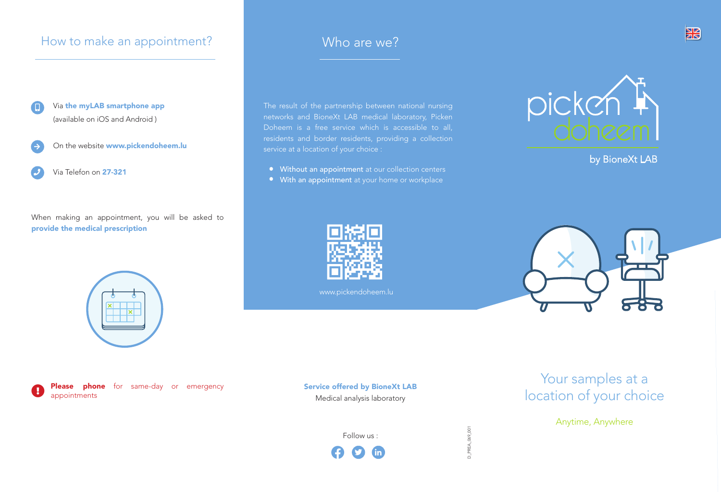### How to make an appointment? How to make an appointment?

Via the myLAB smartphone app (available on iOS and Android ) ( Q

On the website www.pickendoheem.lu (→

Via Telefon on 27-321 ر

 $\mathbf 0$ 

When making an appointment, you will be asked to provide the medical prescription

networks and BioneXt LAB medical laboratory, Picken Doheem is a free service which is accessible to all, residents and border residents, providing a collection

- Without an appointment at our collection centers
- With an appointment at your home or workplace



by BioneXt LAB



www.pickendoheem.lu





Please phone for same-day or emergency appointments

Service offered by BioneXt LAB Medical analysis laboratory

Follow us :

# $\boldsymbol{\Theta}$   $\boldsymbol{\Theta}$   $\boldsymbol{\Phi}$

D\_PREA\_069\_001

D\_PREA\_069\_001

### Your samples at a location of your choice

Anytime, Anywhere